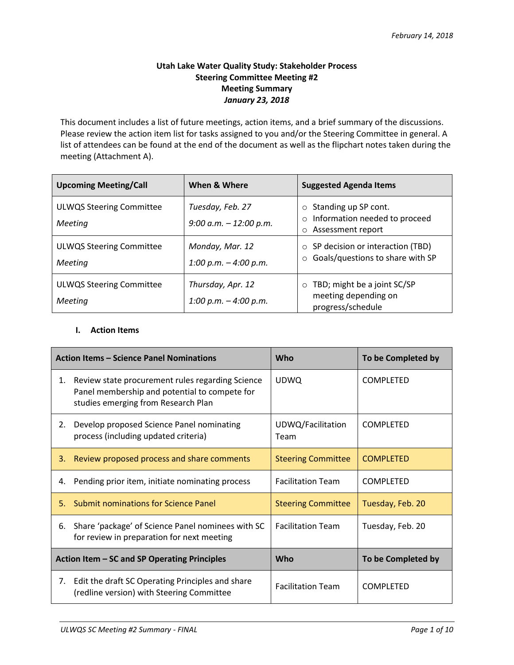# **Utah Lake Water Quality Study: Stakeholder Process Steering Committee Meeting #2 Meeting Summary** *January 23, 2018*

This document includes a list of future meetings, action items, and a brief summary of the discussions. Please review the action item list for tasks assigned to you and/or the Steering Committee in general. A list of attendees can be found at the end of the document as well as the flipchart notes taken during the meeting (Attachment A).

| <b>Upcoming Meeting/Call</b>               | When & Where                                 | <b>Suggested Agenda Items</b>                                                                    |  |
|--------------------------------------------|----------------------------------------------|--------------------------------------------------------------------------------------------------|--|
| <b>ULWQS Steering Committee</b><br>Meeting | Tuesday, Feb. 27<br>9:00 a.m. $- 12:00$ p.m. | Standing up SP cont.<br>$\circ$<br>Information needed to proceed<br>Assessment report<br>$\circ$ |  |
| <b>ULWQS Steering Committee</b><br>Meeting | Monday, Mar. 12<br>1:00 p.m. $-$ 4:00 p.m.   | SP decision or interaction (TBD)<br>$\circ$<br>Goals/questions to share with SP                  |  |
| <b>ULWQS Steering Committee</b><br>Meeting | Thursday, Apr. 12<br>1:00 p.m. $-$ 4:00 p.m. | TBD; might be a joint SC/SP<br>$\circ$<br>meeting depending on<br>progress/schedule              |  |

#### **I. Action Items**

| <b>Action Items - Science Panel Nominations</b> |                                                                                                                                          | Who                       | To be Completed by |
|-------------------------------------------------|------------------------------------------------------------------------------------------------------------------------------------------|---------------------------|--------------------|
| 1.                                              | Review state procurement rules regarding Science<br>Panel membership and potential to compete for<br>studies emerging from Research Plan | <b>UDWQ</b>               | <b>COMPLETED</b>   |
| 2.                                              | Develop proposed Science Panel nominating<br>process (including updated criteria)                                                        | UDWQ/Facilitation<br>Team | <b>COMPLETED</b>   |
| 3.                                              | Review proposed process and share comments                                                                                               | <b>Steering Committee</b> | <b>COMPLETED</b>   |
| 4.                                              | Pending prior item, initiate nominating process                                                                                          | <b>Facilitation Team</b>  | <b>COMPLETED</b>   |
| 5.                                              | <b>Submit nominations for Science Panel</b>                                                                                              | <b>Steering Committee</b> | Tuesday, Feb. 20   |
| 6.                                              | Share 'package' of Science Panel nominees with SC<br>for review in preparation for next meeting                                          | <b>Facilitation Team</b>  | Tuesday, Feb. 20   |
| Action Item – SC and SP Operating Principles    |                                                                                                                                          | <b>Who</b>                | To be Completed by |
| 7.                                              | Edit the draft SC Operating Principles and share<br>(redline version) with Steering Committee                                            | <b>Facilitation Team</b>  | <b>COMPLETED</b>   |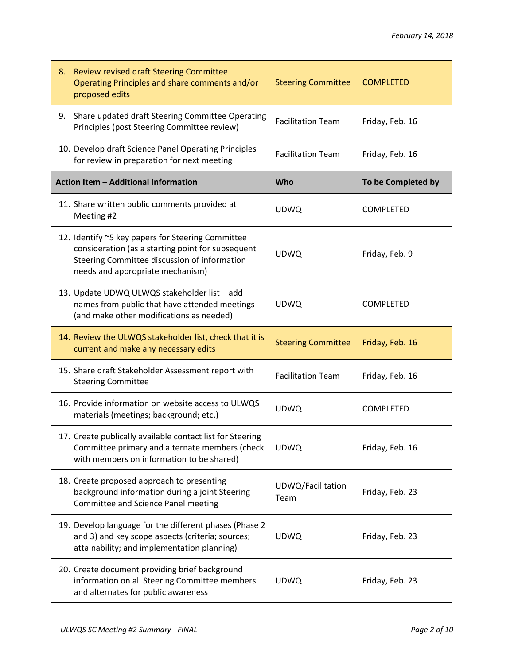| 8. | <b>Review revised draft Steering Committee</b><br>Operating Principles and share comments and/or<br>proposed edits                                                                         | <b>Steering Committee</b> | <b>COMPLETED</b>   |
|----|--------------------------------------------------------------------------------------------------------------------------------------------------------------------------------------------|---------------------------|--------------------|
|    | 9. Share updated draft Steering Committee Operating<br>Principles (post Steering Committee review)                                                                                         | <b>Facilitation Team</b>  | Friday, Feb. 16    |
|    | 10. Develop draft Science Panel Operating Principles<br>for review in preparation for next meeting                                                                                         | <b>Facilitation Team</b>  | Friday, Feb. 16    |
|    | Action Item - Additional Information                                                                                                                                                       | Who                       | To be Completed by |
|    | 11. Share written public comments provided at<br>Meeting #2                                                                                                                                | <b>UDWQ</b>               | COMPLETED          |
|    | 12. Identify ~5 key papers for Steering Committee<br>consideration (as a starting point for subsequent<br>Steering Committee discussion of information<br>needs and appropriate mechanism) | <b>UDWQ</b>               | Friday, Feb. 9     |
|    | 13. Update UDWQ ULWQS stakeholder list - add<br>names from public that have attended meetings<br>(and make other modifications as needed)                                                  | <b>UDWQ</b>               | <b>COMPLETED</b>   |
|    | 14. Review the ULWQS stakeholder list, check that it is<br>current and make any necessary edits                                                                                            | <b>Steering Committee</b> | Friday, Feb. 16    |
|    | 15. Share draft Stakeholder Assessment report with<br><b>Steering Committee</b>                                                                                                            | <b>Facilitation Team</b>  | Friday, Feb. 16    |
|    | 16. Provide information on website access to ULWQS<br>materials (meetings; background; etc.)                                                                                               | <b>UDWQ</b>               | COMPLETED          |
|    | 17. Create publically available contact list for Steering<br>Committee primary and alternate members (check<br>with members on information to be shared)                                   | <b>UDWQ</b>               | Friday, Feb. 16    |
|    | 18. Create proposed approach to presenting<br>background information during a joint Steering<br>Committee and Science Panel meeting                                                        | UDWQ/Facilitation<br>Team | Friday, Feb. 23    |
|    | 19. Develop language for the different phases (Phase 2<br>and 3) and key scope aspects (criteria; sources;<br>attainability; and implementation planning)                                  | <b>UDWQ</b>               | Friday, Feb. 23    |
|    | 20. Create document providing brief background<br>information on all Steering Committee members<br>and alternates for public awareness                                                     | <b>UDWQ</b>               | Friday, Feb. 23    |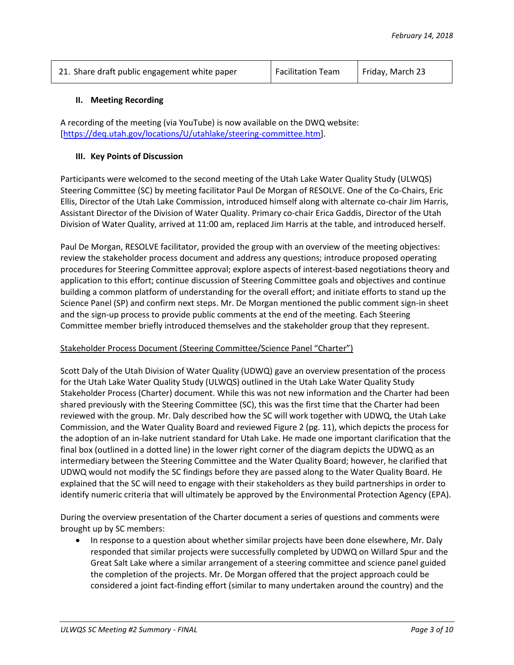| 21. Share draft public engagement white paper | Facilitation Team | Friday, March 23 |
|-----------------------------------------------|-------------------|------------------|
|                                               |                   |                  |

#### **II. Meeting Recording**

A recording of the meeting (via YouTube) is now available on the DWQ website: [\[https://deq.utah.gov/locations/U/utahlake/steering-committee.htm\]](https://deq.utah.gov/locations/U/utahlake/steering-committee.htm).

#### **III. Key Points of Discussion**

Participants were welcomed to the second meeting of the Utah Lake Water Quality Study (ULWQS) Steering Committee (SC) by meeting facilitator Paul De Morgan of RESOLVE. One of the Co-Chairs, Eric Ellis, Director of the Utah Lake Commission, introduced himself along with alternate co-chair Jim Harris, Assistant Director of the Division of Water Quality. Primary co-chair Erica Gaddis, Director of the Utah Division of Water Quality, arrived at 11:00 am, replaced Jim Harris at the table, and introduced herself.

Paul De Morgan, RESOLVE facilitator, provided the group with an overview of the meeting objectives: review the stakeholder process document and address any questions; introduce proposed operating procedures for Steering Committee approval; explore aspects of interest-based negotiations theory and application to this effort; continue discussion of Steering Committee goals and objectives and continue building a common platform of understanding for the overall effort; and initiate efforts to stand up the Science Panel (SP) and confirm next steps. Mr. De Morgan mentioned the public comment sign-in sheet and the sign-up process to provide public comments at the end of the meeting. Each Steering Committee member briefly introduced themselves and the stakeholder group that they represent.

### Stakeholder Process Document (Steering Committee/Science Panel "Charter")

Scott Daly of the Utah Division of Water Quality (UDWQ) gave an overview presentation of the process for the Utah Lake Water Quality Study (ULWQS) outlined in the Utah Lake Water Quality Study Stakeholder Process (Charter) document. While this was not new information and the Charter had been shared previously with the Steering Committee (SC), this was the first time that the Charter had been reviewed with the group. Mr. Daly described how the SC will work together with UDWQ, the Utah Lake Commission, and the Water Quality Board and reviewed Figure 2 (pg. 11), which depicts the process for the adoption of an in-lake nutrient standard for Utah Lake. He made one important clarification that the final box (outlined in a dotted line) in the lower right corner of the diagram depicts the UDWQ as an intermediary between the Steering Committee and the Water Quality Board; however, he clarified that UDWQ would not modify the SC findings before they are passed along to the Water Quality Board. He explained that the SC will need to engage with their stakeholders as they build partnerships in order to identify numeric criteria that will ultimately be approved by the Environmental Protection Agency (EPA).

During the overview presentation of the Charter document a series of questions and comments were brought up by SC members:

 In response to a question about whether similar projects have been done elsewhere, Mr. Daly responded that similar projects were successfully completed by UDWQ on Willard Spur and the Great Salt Lake where a similar arrangement of a steering committee and science panel guided the completion of the projects. Mr. De Morgan offered that the project approach could be considered a joint fact-finding effort (similar to many undertaken around the country) and the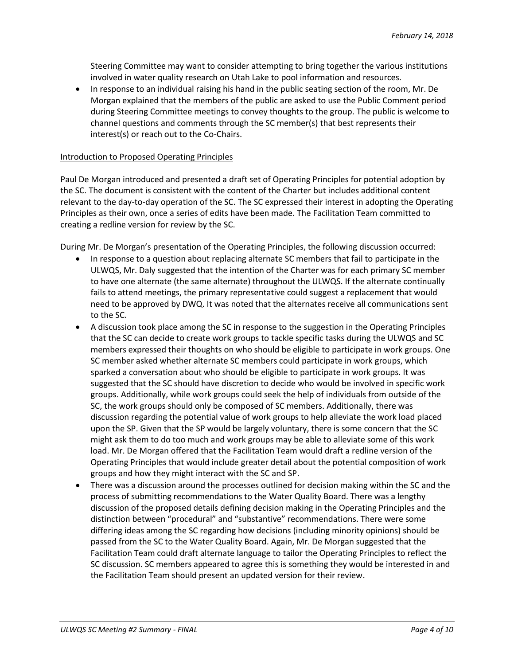Steering Committee may want to consider attempting to bring together the various institutions involved in water quality research on Utah Lake to pool information and resources.

• In response to an individual raising his hand in the public seating section of the room, Mr. De Morgan explained that the members of the public are asked to use the Public Comment period during Steering Committee meetings to convey thoughts to the group. The public is welcome to channel questions and comments through the SC member(s) that best represents their interest(s) or reach out to the Co-Chairs.

#### Introduction to Proposed Operating Principles

Paul De Morgan introduced and presented a draft set of Operating Principles for potential adoption by the SC. The document is consistent with the content of the Charter but includes additional content relevant to the day-to-day operation of the SC. The SC expressed their interest in adopting the Operating Principles as their own, once a series of edits have been made. The Facilitation Team committed to creating a redline version for review by the SC.

During Mr. De Morgan's presentation of the Operating Principles, the following discussion occurred:

- In response to a question about replacing alternate SC members that fail to participate in the ULWQS, Mr. Daly suggested that the intention of the Charter was for each primary SC member to have one alternate (the same alternate) throughout the ULWQS. If the alternate continually fails to attend meetings, the primary representative could suggest a replacement that would need to be approved by DWQ. It was noted that the alternates receive all communications sent to the SC.
- A discussion took place among the SC in response to the suggestion in the Operating Principles that the SC can decide to create work groups to tackle specific tasks during the ULWQS and SC members expressed their thoughts on who should be eligible to participate in work groups. One SC member asked whether alternate SC members could participate in work groups, which sparked a conversation about who should be eligible to participate in work groups. It was suggested that the SC should have discretion to decide who would be involved in specific work groups. Additionally, while work groups could seek the help of individuals from outside of the SC, the work groups should only be composed of SC members. Additionally, there was discussion regarding the potential value of work groups to help alleviate the work load placed upon the SP. Given that the SP would be largely voluntary, there is some concern that the SC might ask them to do too much and work groups may be able to alleviate some of this work load. Mr. De Morgan offered that the Facilitation Team would draft a redline version of the Operating Principles that would include greater detail about the potential composition of work groups and how they might interact with the SC and SP.
- There was a discussion around the processes outlined for decision making within the SC and the process of submitting recommendations to the Water Quality Board. There was a lengthy discussion of the proposed details defining decision making in the Operating Principles and the distinction between "procedural" and "substantive" recommendations. There were some differing ideas among the SC regarding how decisions (including minority opinions) should be passed from the SC to the Water Quality Board. Again, Mr. De Morgan suggested that the Facilitation Team could draft alternate language to tailor the Operating Principles to reflect the SC discussion. SC members appeared to agree this is something they would be interested in and the Facilitation Team should present an updated version for their review.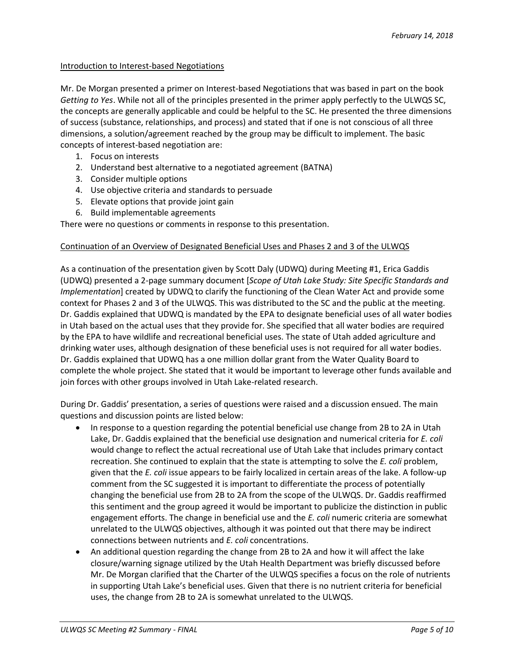#### Introduction to Interest-based Negotiations

Mr. De Morgan presented a primer on Interest-based Negotiations that was based in part on the book *Getting to Yes*. While not all of the principles presented in the primer apply perfectly to the ULWQS SC, the concepts are generally applicable and could be helpful to the SC. He presented the three dimensions of success (substance, relationships, and process) and stated that if one is not conscious of all three dimensions, a solution/agreement reached by the group may be difficult to implement. The basic concepts of interest-based negotiation are:

- 1. Focus on interests
- 2. Understand best alternative to a negotiated agreement (BATNA)
- 3. Consider multiple options
- 4. Use objective criteria and standards to persuade
- 5. Elevate options that provide joint gain
- 6. Build implementable agreements

There were no questions or comments in response to this presentation.

### Continuation of an Overview of Designated Beneficial Uses and Phases 2 and 3 of the ULWQS

As a continuation of the presentation given by Scott Daly (UDWQ) during Meeting #1, Erica Gaddis (UDWQ) presented a 2-page summary document [*Scope of Utah Lake Study: Site Specific Standards and Implementation*] created by UDWQ to clarify the functioning of the Clean Water Act and provide some context for Phases 2 and 3 of the ULWQS. This was distributed to the SC and the public at the meeting. Dr. Gaddis explained that UDWQ is mandated by the EPA to designate beneficial uses of all water bodies in Utah based on the actual uses that they provide for. She specified that all water bodies are required by the EPA to have wildlife and recreational beneficial uses. The state of Utah added agriculture and drinking water uses, although designation of these beneficial uses is not required for all water bodies. Dr. Gaddis explained that UDWQ has a one million dollar grant from the Water Quality Board to complete the whole project. She stated that it would be important to leverage other funds available and join forces with other groups involved in Utah Lake-related research.

During Dr. Gaddis' presentation, a series of questions were raised and a discussion ensued. The main questions and discussion points are listed below:

- In response to a question regarding the potential beneficial use change from 2B to 2A in Utah Lake, Dr. Gaddis explained that the beneficial use designation and numerical criteria for *E. coli* would change to reflect the actual recreational use of Utah Lake that includes primary contact recreation. She continued to explain that the state is attempting to solve the *E. coli* problem, given that the *E. coli* issue appears to be fairly localized in certain areas of the lake. A follow-up comment from the SC suggested it is important to differentiate the process of potentially changing the beneficial use from 2B to 2A from the scope of the ULWQS. Dr. Gaddis reaffirmed this sentiment and the group agreed it would be important to publicize the distinction in public engagement efforts. The change in beneficial use and the *E. coli* numeric criteria are somewhat unrelated to the ULWQS objectives, although it was pointed out that there may be indirect connections between nutrients and *E. coli* concentrations.
- An additional question regarding the change from 2B to 2A and how it will affect the lake closure/warning signage utilized by the Utah Health Department was briefly discussed before Mr. De Morgan clarified that the Charter of the ULWQS specifies a focus on the role of nutrients in supporting Utah Lake's beneficial uses. Given that there is no nutrient criteria for beneficial uses, the change from 2B to 2A is somewhat unrelated to the ULWQS.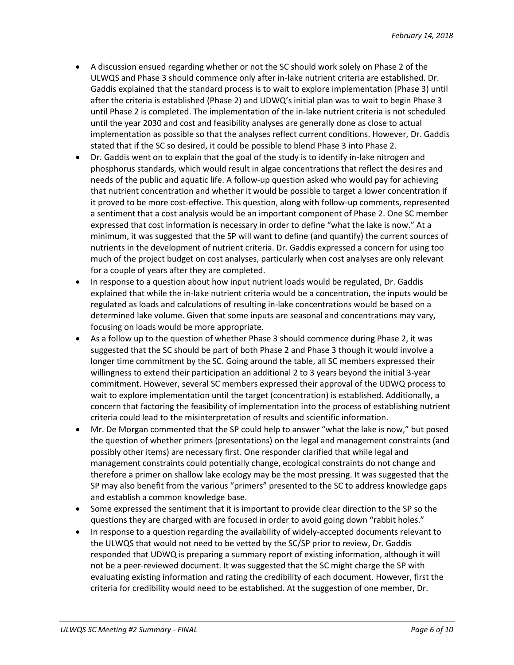- A discussion ensued regarding whether or not the SC should work solely on Phase 2 of the ULWQS and Phase 3 should commence only after in-lake nutrient criteria are established. Dr. Gaddis explained that the standard process is to wait to explore implementation (Phase 3) until after the criteria is established (Phase 2) and UDWQ's initial plan was to wait to begin Phase 3 until Phase 2 is completed. The implementation of the in-lake nutrient criteria is not scheduled until the year 2030 and cost and feasibility analyses are generally done as close to actual implementation as possible so that the analyses reflect current conditions. However, Dr. Gaddis stated that if the SC so desired, it could be possible to blend Phase 3 into Phase 2.
- Dr. Gaddis went on to explain that the goal of the study is to identify in-lake nitrogen and phosphorus standards, which would result in algae concentrations that reflect the desires and needs of the public and aquatic life. A follow-up question asked who would pay for achieving that nutrient concentration and whether it would be possible to target a lower concentration if it proved to be more cost-effective. This question, along with follow-up comments, represented a sentiment that a cost analysis would be an important component of Phase 2. One SC member expressed that cost information is necessary in order to define "what the lake is now." At a minimum, it was suggested that the SP will want to define (and quantify) the current sources of nutrients in the development of nutrient criteria. Dr. Gaddis expressed a concern for using too much of the project budget on cost analyses, particularly when cost analyses are only relevant for a couple of years after they are completed.
- In response to a question about how input nutrient loads would be regulated, Dr. Gaddis explained that while the in-lake nutrient criteria would be a concentration, the inputs would be regulated as loads and calculations of resulting in-lake concentrations would be based on a determined lake volume. Given that some inputs are seasonal and concentrations may vary, focusing on loads would be more appropriate.
- As a follow up to the question of whether Phase 3 should commence during Phase 2, it was suggested that the SC should be part of both Phase 2 and Phase 3 though it would involve a longer time commitment by the SC. Going around the table, all SC members expressed their willingness to extend their participation an additional 2 to 3 years beyond the initial 3-year commitment. However, several SC members expressed their approval of the UDWQ process to wait to explore implementation until the target (concentration) is established. Additionally, a concern that factoring the feasibility of implementation into the process of establishing nutrient criteria could lead to the misinterpretation of results and scientific information.
- Mr. De Morgan commented that the SP could help to answer "what the lake is now," but posed the question of whether primers (presentations) on the legal and management constraints (and possibly other items) are necessary first. One responder clarified that while legal and management constraints could potentially change, ecological constraints do not change and therefore a primer on shallow lake ecology may be the most pressing. It was suggested that the SP may also benefit from the various "primers" presented to the SC to address knowledge gaps and establish a common knowledge base.
- Some expressed the sentiment that it is important to provide clear direction to the SP so the questions they are charged with are focused in order to avoid going down "rabbit holes."
- In response to a question regarding the availability of widely-accepted documents relevant to the ULWQS that would not need to be vetted by the SC/SP prior to review, Dr. Gaddis responded that UDWQ is preparing a summary report of existing information, although it will not be a peer-reviewed document. It was suggested that the SC might charge the SP with evaluating existing information and rating the credibility of each document. However, first the criteria for credibility would need to be established. At the suggestion of one member, Dr.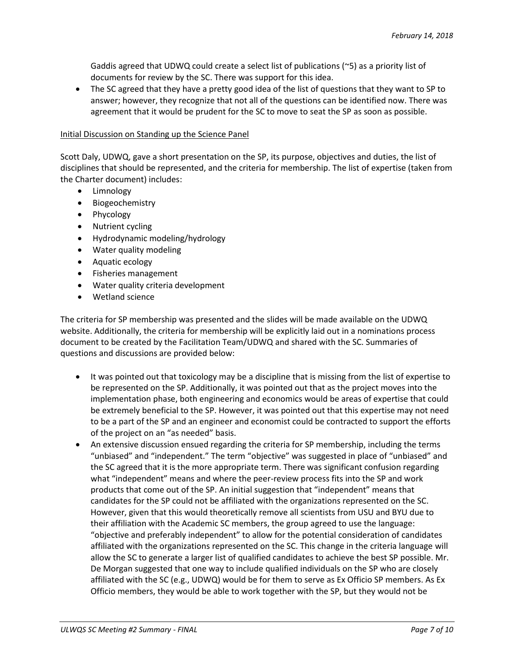Gaddis agreed that UDWQ could create a select list of publications (~5) as a priority list of documents for review by the SC. There was support for this idea.

 The SC agreed that they have a pretty good idea of the list of questions that they want to SP to answer; however, they recognize that not all of the questions can be identified now. There was agreement that it would be prudent for the SC to move to seat the SP as soon as possible.

#### Initial Discussion on Standing up the Science Panel

Scott Daly, UDWQ, gave a short presentation on the SP, its purpose, objectives and duties, the list of disciplines that should be represented, and the criteria for membership. The list of expertise (taken from the Charter document) includes:

- **•** Limnology
- Biogeochemistry
- Phycology
- Nutrient cycling
- Hydrodynamic modeling/hydrology
- Water quality modeling
- Aquatic ecology
- Fisheries management
- Water quality criteria development
- Wetland science

The criteria for SP membership was presented and the slides will be made available on the UDWQ website. Additionally, the criteria for membership will be explicitly laid out in a nominations process document to be created by the Facilitation Team/UDWQ and shared with the SC. Summaries of questions and discussions are provided below:

- It was pointed out that toxicology may be a discipline that is missing from the list of expertise to be represented on the SP. Additionally, it was pointed out that as the project moves into the implementation phase, both engineering and economics would be areas of expertise that could be extremely beneficial to the SP. However, it was pointed out that this expertise may not need to be a part of the SP and an engineer and economist could be contracted to support the efforts of the project on an "as needed" basis.
- An extensive discussion ensued regarding the criteria for SP membership, including the terms "unbiased" and "independent." The term "objective" was suggested in place of "unbiased" and the SC agreed that it is the more appropriate term. There was significant confusion regarding what "independent" means and where the peer-review process fits into the SP and work products that come out of the SP. An initial suggestion that "independent" means that candidates for the SP could not be affiliated with the organizations represented on the SC. However, given that this would theoretically remove all scientists from USU and BYU due to their affiliation with the Academic SC members, the group agreed to use the language: "objective and preferably independent" to allow for the potential consideration of candidates affiliated with the organizations represented on the SC. This change in the criteria language will allow the SC to generate a larger list of qualified candidates to achieve the best SP possible. Mr. De Morgan suggested that one way to include qualified individuals on the SP who are closely affiliated with the SC (e.g., UDWQ) would be for them to serve as Ex Officio SP members. As Ex Officio members, they would be able to work together with the SP, but they would not be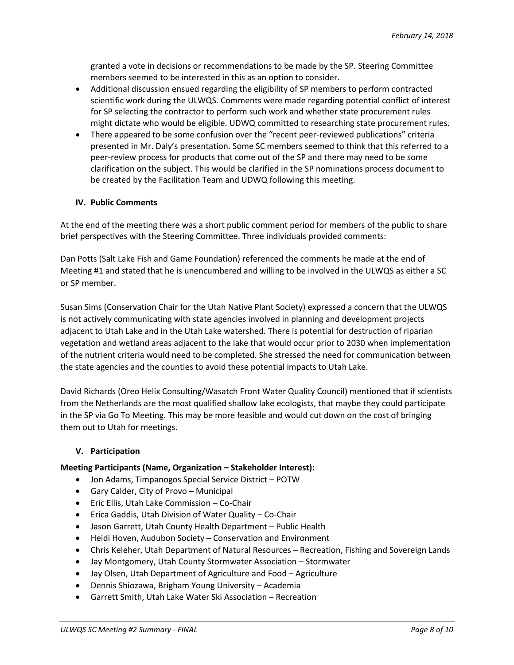granted a vote in decisions or recommendations to be made by the SP. Steering Committee members seemed to be interested in this as an option to consider.

- Additional discussion ensued regarding the eligibility of SP members to perform contracted scientific work during the ULWQS. Comments were made regarding potential conflict of interest for SP selecting the contractor to perform such work and whether state procurement rules might dictate who would be eligible. UDWQ committed to researching state procurement rules.
- There appeared to be some confusion over the "recent peer-reviewed publications" criteria presented in Mr. Daly's presentation. Some SC members seemed to think that this referred to a peer-review process for products that come out of the SP and there may need to be some clarification on the subject. This would be clarified in the SP nominations process document to be created by the Facilitation Team and UDWQ following this meeting.

## **IV. Public Comments**

At the end of the meeting there was a short public comment period for members of the public to share brief perspectives with the Steering Committee. Three individuals provided comments:

Dan Potts (Salt Lake Fish and Game Foundation) referenced the comments he made at the end of Meeting #1 and stated that he is unencumbered and willing to be involved in the ULWQS as either a SC or SP member.

Susan Sims (Conservation Chair for the Utah Native Plant Society) expressed a concern that the ULWQS is not actively communicating with state agencies involved in planning and development projects adjacent to Utah Lake and in the Utah Lake watershed. There is potential for destruction of riparian vegetation and wetland areas adjacent to the lake that would occur prior to 2030 when implementation of the nutrient criteria would need to be completed. She stressed the need for communication between the state agencies and the counties to avoid these potential impacts to Utah Lake.

David Richards (Oreo Helix Consulting/Wasatch Front Water Quality Council) mentioned that if scientists from the Netherlands are the most qualified shallow lake ecologists, that maybe they could participate in the SP via Go To Meeting. This may be more feasible and would cut down on the cost of bringing them out to Utah for meetings.

### **V. Participation**

### **Meeting Participants (Name, Organization – Stakeholder Interest):**

- Jon Adams, Timpanogos Special Service District POTW
- Gary Calder, City of Provo Municipal
- Eric Ellis, Utah Lake Commission Co-Chair
- Erica Gaddis, Utah Division of Water Quality Co-Chair
- Jason Garrett, Utah County Health Department Public Health
- Heidi Hoven, Audubon Society Conservation and Environment
- Chris Keleher, Utah Department of Natural Resources Recreation, Fishing and Sovereign Lands
- Jay Montgomery, Utah County Stormwater Association Stormwater
- Jay Olsen, Utah Department of Agriculture and Food Agriculture
- Dennis Shiozawa, Brigham Young University Academia
- Garrett Smith, Utah Lake Water Ski Association Recreation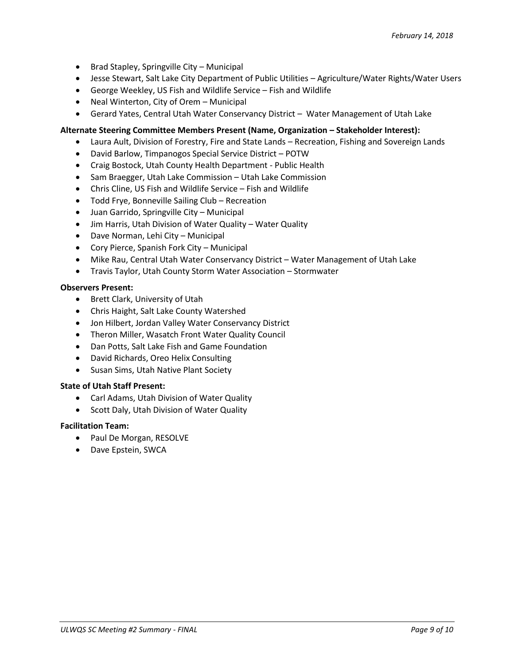- Brad Stapley, Springville City Municipal
- Jesse Stewart, Salt Lake City Department of Public Utilities Agriculture/Water Rights/Water Users
- George Weekley, US Fish and Wildlife Service Fish and Wildlife
- Neal Winterton, City of Orem Municipal
- Gerard Yates, Central Utah Water Conservancy District Water Management of Utah Lake

## **Alternate Steering Committee Members Present (Name, Organization – Stakeholder Interest):**

- Laura Ault, Division of Forestry, Fire and State Lands Recreation, Fishing and Sovereign Lands
- David Barlow, Timpanogos Special Service District POTW
- Craig Bostock, Utah County Health Department Public Health
- Sam Braegger, Utah Lake Commission Utah Lake Commission
- Chris Cline, US Fish and Wildlife Service Fish and Wildlife
- Todd Frye, Bonneville Sailing Club Recreation
- Juan Garrido, Springville City Municipal
- Jim Harris, Utah Division of Water Quality Water Quality
- Dave Norman, Lehi City Municipal
- Cory Pierce, Spanish Fork City Municipal
- Mike Rau, Central Utah Water Conservancy District Water Management of Utah Lake
- Travis Taylor, Utah County Storm Water Association Stormwater

### **Observers Present:**

- Brett Clark, University of Utah
- Chris Haight, Salt Lake County Watershed
- Jon Hilbert, Jordan Valley Water Conservancy District
- Theron Miller, Wasatch Front Water Quality Council
- Dan Potts, Salt Lake Fish and Game Foundation
- David Richards, Oreo Helix Consulting
- Susan Sims, Utah Native Plant Society

### **State of Utah Staff Present:**

- Carl Adams, Utah Division of Water Quality
- Scott Daly, Utah Division of Water Quality

### **Facilitation Team:**

- Paul De Morgan, RESOLVE
- Dave Epstein, SWCA